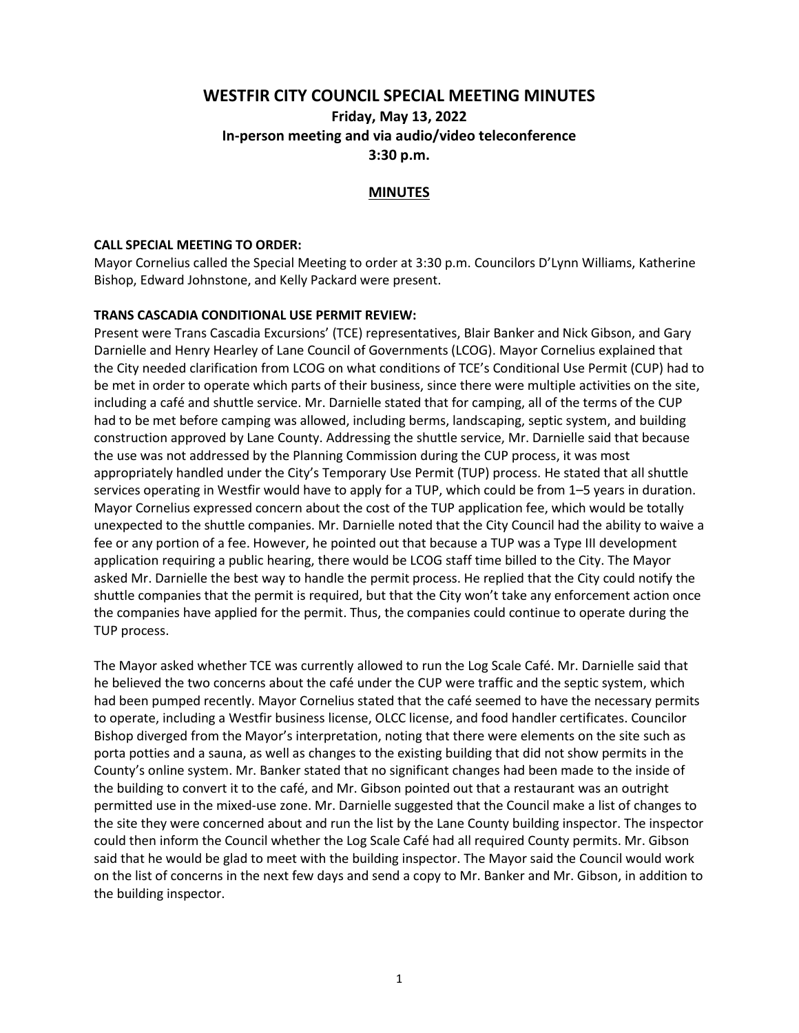# **WESTFIR CITY COUNCIL SPECIAL MEETING MINUTES Friday, May 13, 2022 In-person meeting and via audio/video teleconference 3:30 p.m.**

# **MINUTES**

#### **CALL SPECIAL MEETING TO ORDER:**

Mayor Cornelius called the Special Meeting to order at 3:30 p.m. Councilors D'Lynn Williams, Katherine Bishop, Edward Johnstone, and Kelly Packard were present.

#### **TRANS CASCADIA CONDITIONAL USE PERMIT REVIEW:**

Present were Trans Cascadia Excursions' (TCE) representatives, Blair Banker and Nick Gibson, and Gary Darnielle and Henry Hearley of Lane Council of Governments (LCOG). Mayor Cornelius explained that the City needed clarification from LCOG on what conditions of TCE's Conditional Use Permit (CUP) had to be met in order to operate which parts of their business, since there were multiple activities on the site, including a café and shuttle service. Mr. Darnielle stated that for camping, all of the terms of the CUP had to be met before camping was allowed, including berms, landscaping, septic system, and building construction approved by Lane County. Addressing the shuttle service, Mr. Darnielle said that because the use was not addressed by the Planning Commission during the CUP process, it was most appropriately handled under the City's Temporary Use Permit (TUP) process. He stated that all shuttle services operating in Westfir would have to apply for a TUP, which could be from 1–5 years in duration. Mayor Cornelius expressed concern about the cost of the TUP application fee, which would be totally unexpected to the shuttle companies. Mr. Darnielle noted that the City Council had the ability to waive a fee or any portion of a fee. However, he pointed out that because a TUP was a Type III development application requiring a public hearing, there would be LCOG staff time billed to the City. The Mayor asked Mr. Darnielle the best way to handle the permit process. He replied that the City could notify the shuttle companies that the permit is required, but that the City won't take any enforcement action once the companies have applied for the permit. Thus, the companies could continue to operate during the TUP process.

The Mayor asked whether TCE was currently allowed to run the Log Scale Café. Mr. Darnielle said that he believed the two concerns about the café under the CUP were traffic and the septic system, which had been pumped recently. Mayor Cornelius stated that the café seemed to have the necessary permits to operate, including a Westfir business license, OLCC license, and food handler certificates. Councilor Bishop diverged from the Mayor's interpretation, noting that there were elements on the site such as porta potties and a sauna, as well as changes to the existing building that did not show permits in the County's online system. Mr. Banker stated that no significant changes had been made to the inside of the building to convert it to the café, and Mr. Gibson pointed out that a restaurant was an outright permitted use in the mixed-use zone. Mr. Darnielle suggested that the Council make a list of changes to the site they were concerned about and run the list by the Lane County building inspector. The inspector could then inform the Council whether the Log Scale Café had all required County permits. Mr. Gibson said that he would be glad to meet with the building inspector. The Mayor said the Council would work on the list of concerns in the next few days and send a copy to Mr. Banker and Mr. Gibson, in addition to the building inspector.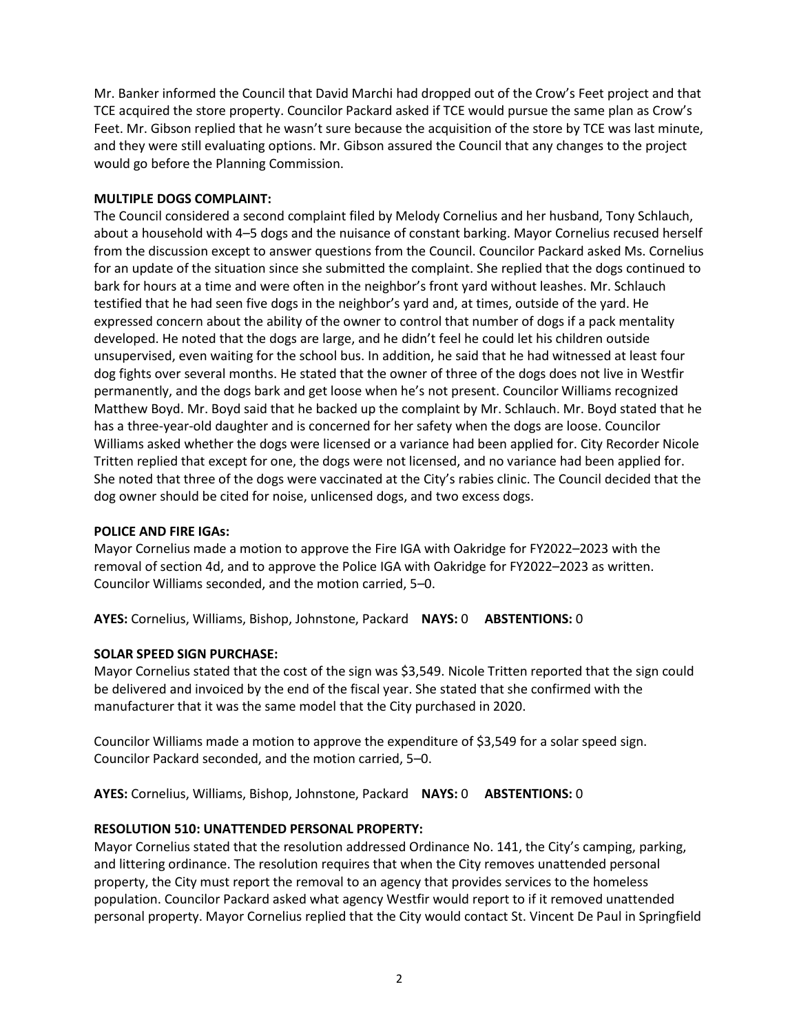Mr. Banker informed the Council that David Marchi had dropped out of the Crow's Feet project and that TCE acquired the store property. Councilor Packard asked if TCE would pursue the same plan as Crow's Feet. Mr. Gibson replied that he wasn't sure because the acquisition of the store by TCE was last minute, and they were still evaluating options. Mr. Gibson assured the Council that any changes to the project would go before the Planning Commission.

#### **MULTIPLE DOGS COMPLAINT:**

The Council considered a second complaint filed by Melody Cornelius and her husband, Tony Schlauch, about a household with 4–5 dogs and the nuisance of constant barking. Mayor Cornelius recused herself from the discussion except to answer questions from the Council. Councilor Packard asked Ms. Cornelius for an update of the situation since she submitted the complaint. She replied that the dogs continued to bark for hours at a time and were often in the neighbor's front yard without leashes. Mr. Schlauch testified that he had seen five dogs in the neighbor's yard and, at times, outside of the yard. He expressed concern about the ability of the owner to control that number of dogs if a pack mentality developed. He noted that the dogs are large, and he didn't feel he could let his children outside unsupervised, even waiting for the school bus. In addition, he said that he had witnessed at least four dog fights over several months. He stated that the owner of three of the dogs does not live in Westfir permanently, and the dogs bark and get loose when he's not present. Councilor Williams recognized Matthew Boyd. Mr. Boyd said that he backed up the complaint by Mr. Schlauch. Mr. Boyd stated that he has a three-year-old daughter and is concerned for her safety when the dogs are loose. Councilor Williams asked whether the dogs were licensed or a variance had been applied for. City Recorder Nicole Tritten replied that except for one, the dogs were not licensed, and no variance had been applied for. She noted that three of the dogs were vaccinated at the City's rabies clinic. The Council decided that the dog owner should be cited for noise, unlicensed dogs, and two excess dogs.

# **POLICE AND FIRE IGAs:**

Mayor Cornelius made a motion to approve the Fire IGA with Oakridge for FY2022–2023 with the removal of section 4d, and to approve the Police IGA with Oakridge for FY2022–2023 as written. Councilor Williams seconded, and the motion carried, 5–0.

**AYES:** Cornelius, Williams, Bishop, Johnstone, Packard **NAYS:** 0 **ABSTENTIONS:** 0

# **SOLAR SPEED SIGN PURCHASE:**

Mayor Cornelius stated that the cost of the sign was \$3,549. Nicole Tritten reported that the sign could be delivered and invoiced by the end of the fiscal year. She stated that she confirmed with the manufacturer that it was the same model that the City purchased in 2020.

Councilor Williams made a motion to approve the expenditure of \$3,549 for a solar speed sign. Councilor Packard seconded, and the motion carried, 5–0.

**AYES:** Cornelius, Williams, Bishop, Johnstone, Packard **NAYS:** 0 **ABSTENTIONS:** 0

# **RESOLUTION 510: UNATTENDED PERSONAL PROPERTY:**

Mayor Cornelius stated that the resolution addressed Ordinance No. 141, the City's camping, parking, and littering ordinance. The resolution requires that when the City removes unattended personal property, the City must report the removal to an agency that provides services to the homeless population. Councilor Packard asked what agency Westfir would report to if it removed unattended personal property. Mayor Cornelius replied that the City would contact St. Vincent De Paul in Springfield